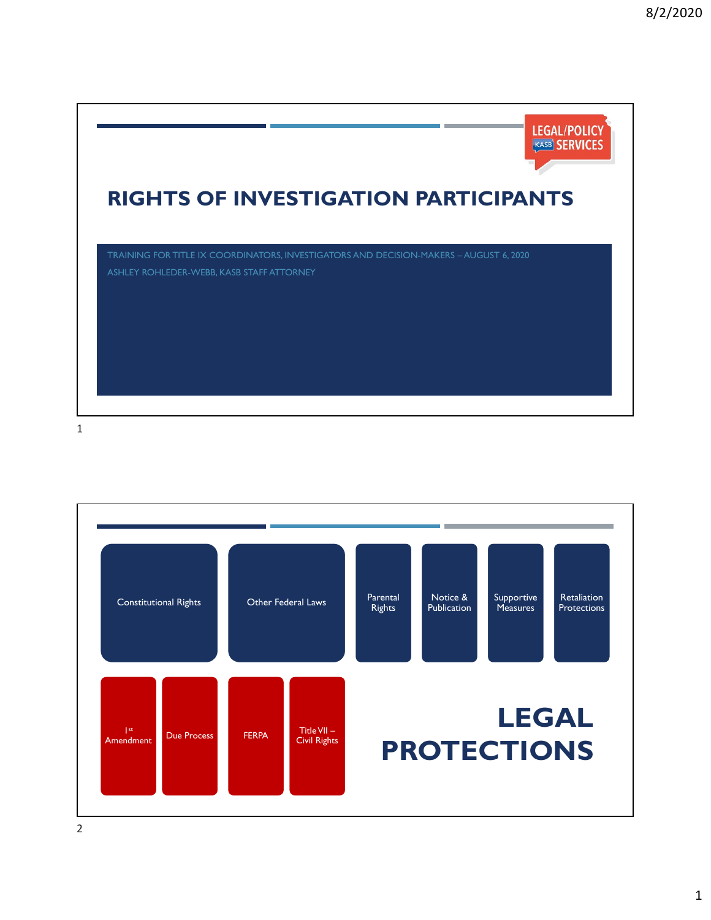

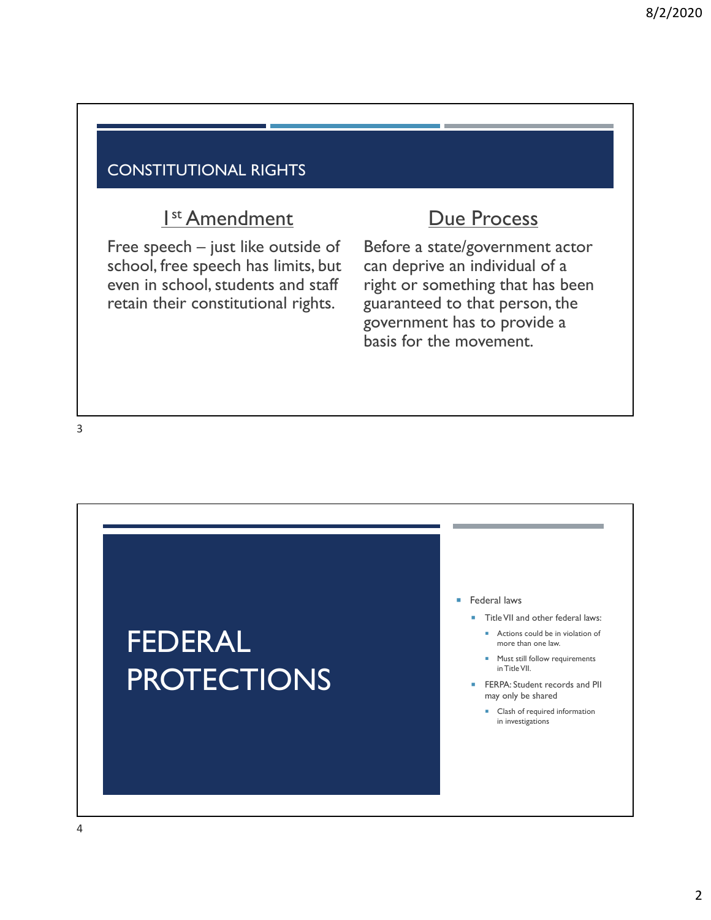#### CONSTITUTIONAL RIGHTS

# I<sup>st</sup> Amendment

Free speech – just like outside of school, free speech has limits, but even in school, students and staff retain their constitutional rights.

# Due Process

Before a state/government actor can deprive an individual of a right or something that has been guaranteed to that person, the government has to provide a basis for the movement.

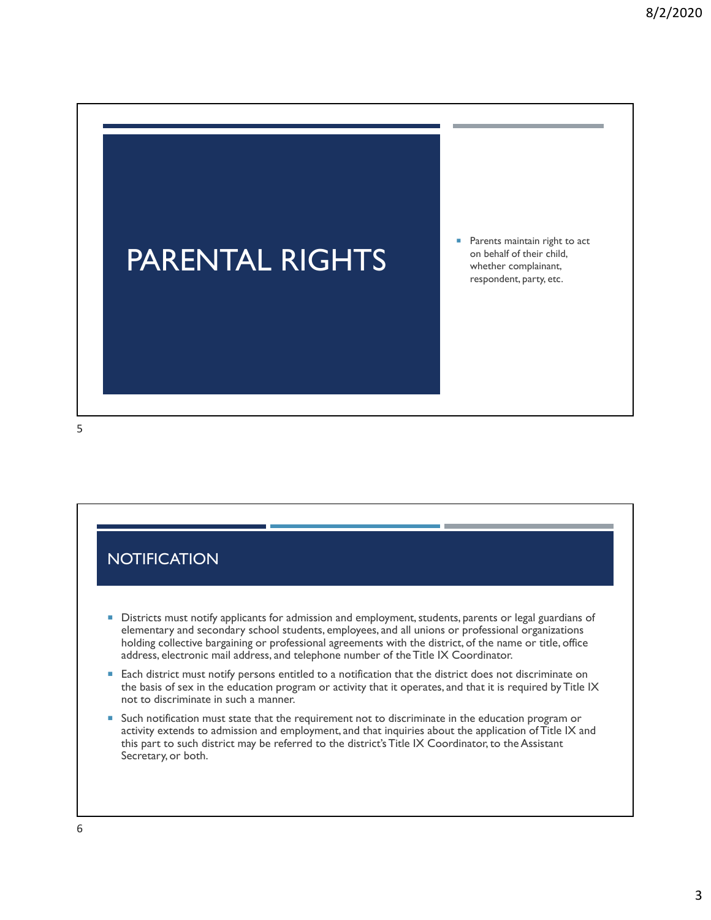

5

#### **NOTIFICATION**

- **Districts must notify applicants for admission and employment, students, parents or legal guardians of** elementary and secondary school students, employees, and all unions or professional organizations holding collective bargaining or professional agreements with the district, of the name or title, office address, electronic mail address, and telephone number of the Title IX Coordinator.
- **Each district must notify persons entitled to a notification that the district does not discriminate on** the basis of sex in the education program or activity that it operates, and that it is required by Title IX not to discriminate in such a manner.
- Such notification must state that the requirement not to discriminate in the education program or activity extends to admission and employment, and that inquiries about the application of Title IX and this part to such district may be referred to the district's Title IX Coordinator, to the Assistant Secretary, or both.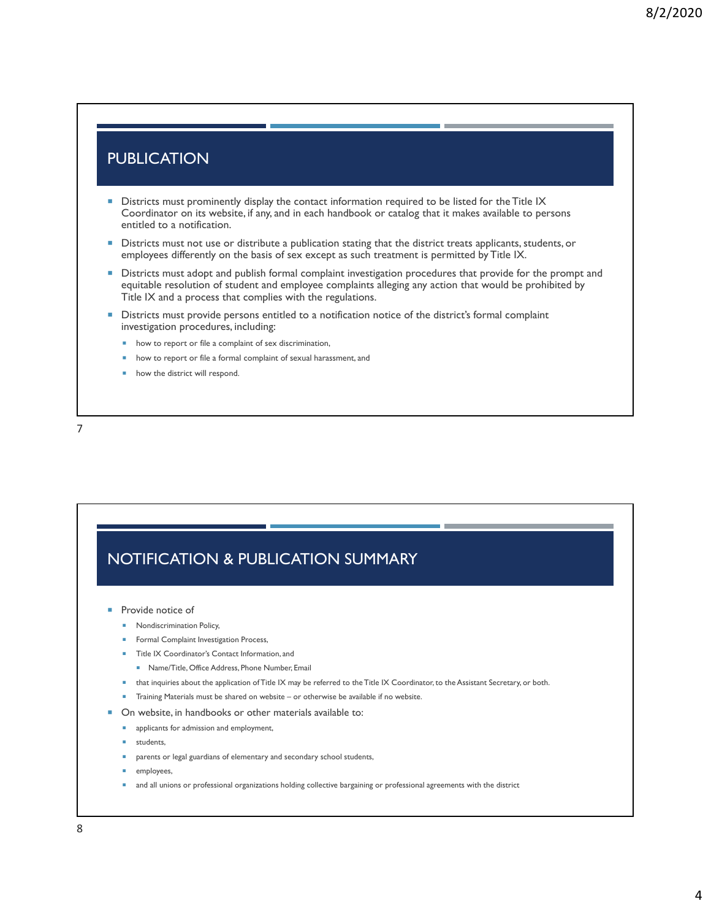#### **PUBLICATION**

- **Districts must prominently display the contact information required to be listed for the Title IX** Coordinator on its website, if any, and in each handbook or catalog that it makes available to persons entitled to a notification.
- Districts must not use or distribute a publication stating that the district treats applicants, students, or employees differently on the basis of sex except as such treatment is permitted by Title IX.
- **Districts must adopt and publish formal complaint investigation procedures that provide for the prompt and** equitable resolution of student and employee complaints alleging any action that would be prohibited by Title IX and a process that complies with the regulations.
- Districts must provide persons entitled to a notification notice of the district's formal complaint investigation procedures, including:
	- **how to report or file a complaint of sex discrimination,**
	- **how to report or file a formal complaint of sexual harassment, and**
	- how the district will respond.

7

### NOTIFICATION & PUBLICATION SUMMARY

- Provide notice of
	- **Nondiscrimination Policy,**
	- **Formal Complaint Investigation Process,**
	- Title IX Coordinator's Contact Information, and
	- Name/Title, Office Address, Phone Number, Email
	- that inquiries about the application of Title IX may be referred to the Title IX Coordinator, to the Assistant Secretary, or both.
	- Training Materials must be shared on website or otherwise be available if no website.
- On website, in handbooks or other materials available to:
	- **a** applicants for admission and employment,
	- students,
	- parents or legal guardians of elementary and secondary school students,
	- employees,
	- and all unions or professional organizations holding collective bargaining or professional agreements with the district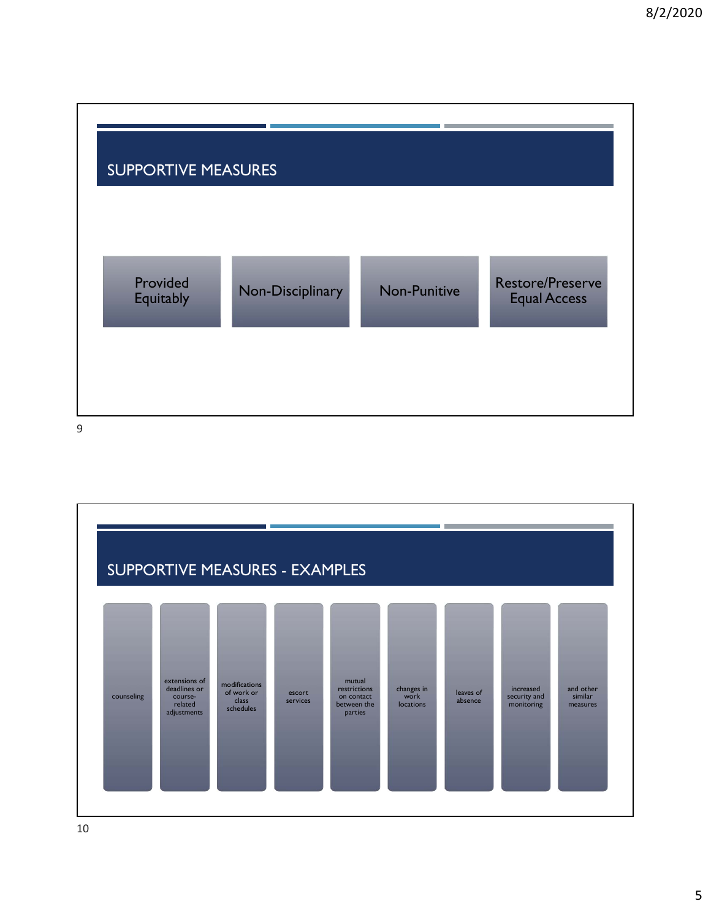

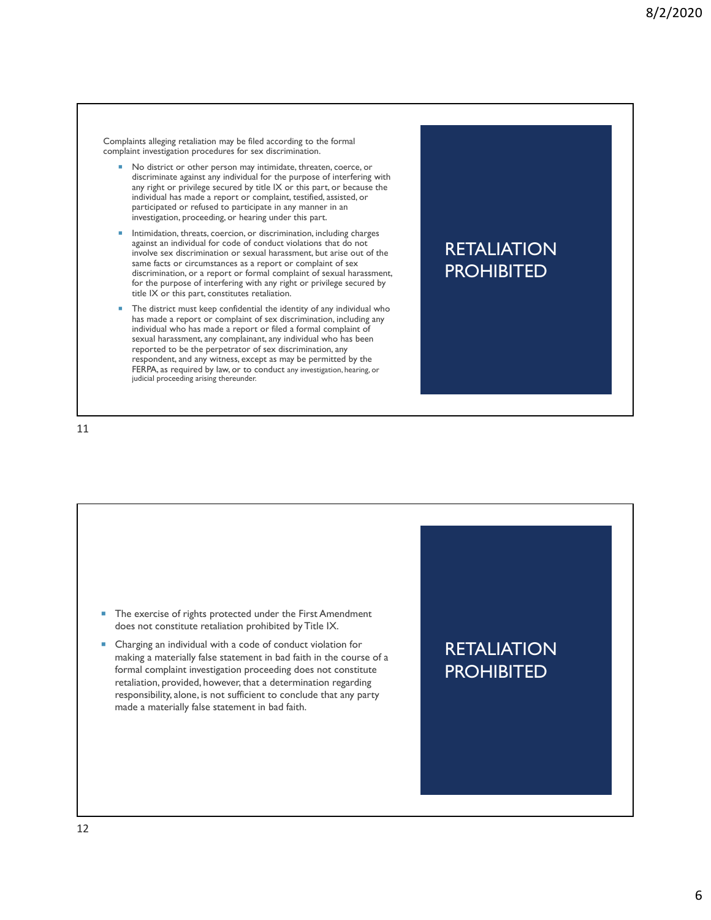Complaints alleging retaliation may be filed according to the formal complaint investigation procedures for sex discrimination.

- No district or other person may intimidate, threaten, coerce, or discriminate against any individual for the purpose of interfering with any right or privilege secured by title IX or this part, or because the individual has made a report or complaint, testified, assisted, or participated or refused to participate in any manner in an investigation, proceeding, or hearing under this part.
- Intimidation, threats, coercion, or discrimination, including charges against an individual for code of conduct violations that do not involve sex discrimination or sexual harassment, but arise out of the same facts or circumstances as a report or complaint of sex discrimination, or a report or formal complaint of sexual harassment, for the purpose of interfering with any right or privilege secured by title IX or this part, constitutes retaliation.
- The district must keep confidential the identity of any individual who has made a report or complaint of sex discrimination, including any individual who has made a report or filed a formal complaint of sexual harassment, any complainant, any individual who has been reported to be the perpetrator of sex discrimination, any respondent, and any witness, except as may be permitted by the FERPA, as required by law, or to conduct any investigation, hearing, or judicial proceeding arising thereunder.

### **RETALIATION PROHIBITED**

11

**RETALIATION PROHIBITED** ■ The exercise of rights protected under the First Amendment does not constitute retaliation prohibited by Title IX. Charging an individual with a code of conduct violation for making a materially false statement in bad faith in the course of a formal complaint investigation proceeding does not constitute retaliation, provided, however, that a determination regarding responsibility, alone, is not sufficient to conclude that any party made a materially false statement in bad faith.